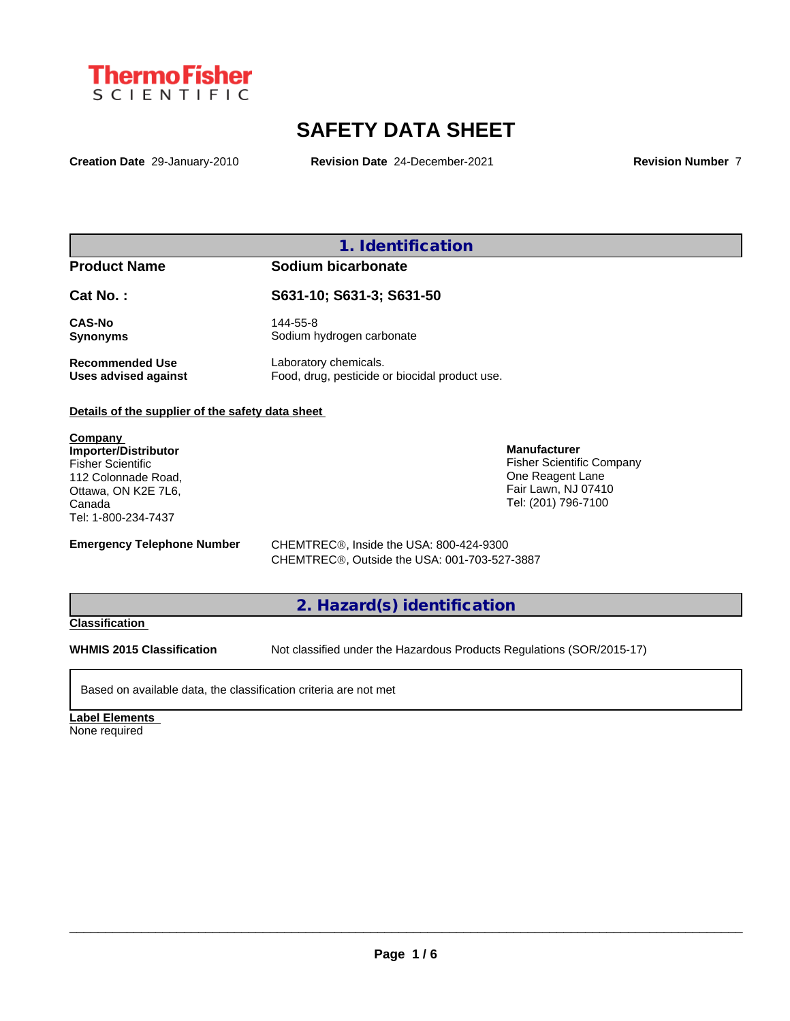

# **SAFETY DATA SHEET**

**Creation Date** 29-January-2010 **Revision Date** 24-December-2021 **Revision Number** 7

# **1. Identification**

## **Product Name Sodium bicarbonate**

**Cat No. : S631-10; S631-3; S631-50**

**CAS-No** 144-55-8

**Synonyms** Sodium hydrogen carbonate **Recommended Use** Laboratory chemicals.<br> **Uses advised against** Food, drug, pesticide of Food, drug, pesticide or biocidal product use.

## **Details of the supplier of the safety data sheet**

**Company Importer/Distributor** Fisher Scientific 112 Colonnade Road, Ottawa, ON K2E 7L6, Canada Tel: 1-800-234-7437

One Reagent Lane Fair Lawn, NJ 07410 Tel: (201) 796-7100

**Manufacturer**

Fisher Scientific Company

**Emergency Telephone Number** CHEMTREC<sup>®</sup>, Inside the USA: 800-424-9300 CHEMTREC®, Outside the USA: 001-703-527-3887

# **2. Hazard(s) identification**

# **Classification**

**WHMIS 2015 Classification** Not classified under the Hazardous Products Regulations (SOR/2015-17)

Based on available data, the classification criteria are not met

**Label Elements**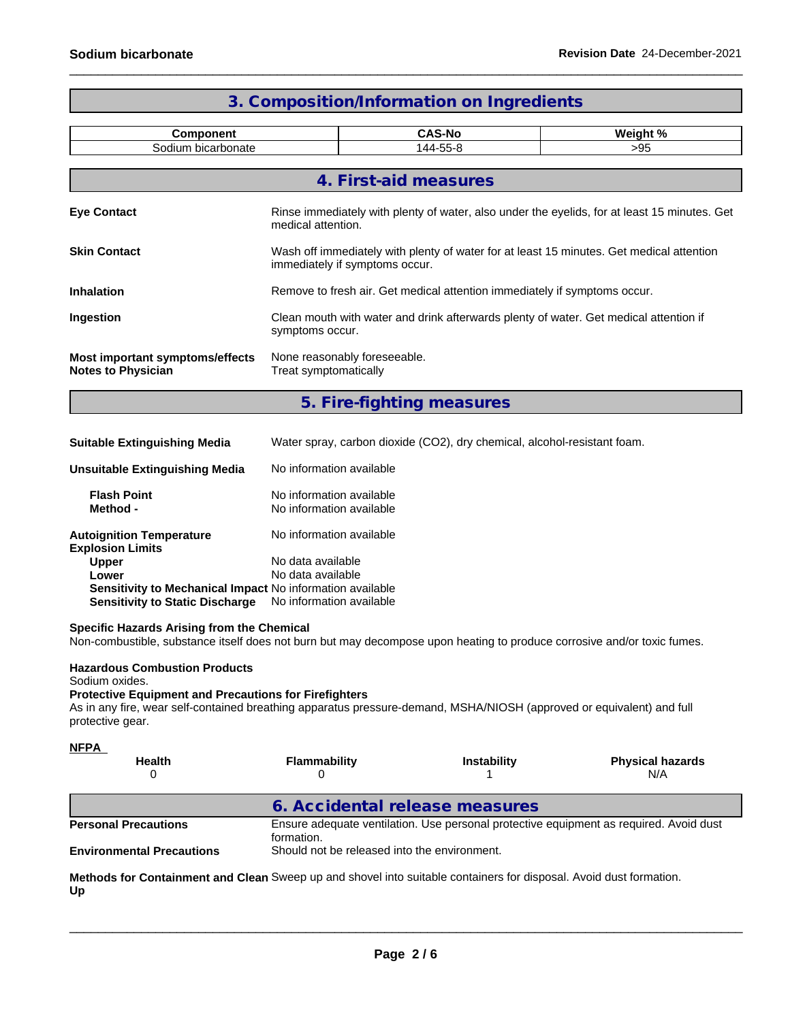| 3. Composition/Information on Ingredients                    |                                                                                                                            |                           |          |  |  |
|--------------------------------------------------------------|----------------------------------------------------------------------------------------------------------------------------|---------------------------|----------|--|--|
| <b>Component</b>                                             |                                                                                                                            | <b>CAS-No</b>             | Weight % |  |  |
| Sodium bicarbonate                                           | 144-55-8<br>>95                                                                                                            |                           |          |  |  |
|                                                              |                                                                                                                            | 4. First-aid measures     |          |  |  |
| <b>Eye Contact</b>                                           | Rinse immediately with plenty of water, also under the eyelids, for at least 15 minutes. Get<br>medical attention.         |                           |          |  |  |
| <b>Skin Contact</b>                                          | Wash off immediately with plenty of water for at least 15 minutes. Get medical attention<br>immediately if symptoms occur. |                           |          |  |  |
| <b>Inhalation</b>                                            | Remove to fresh air. Get medical attention immediately if symptoms occur.                                                  |                           |          |  |  |
| Ingestion                                                    | Clean mouth with water and drink afterwards plenty of water. Get medical attention if<br>symptoms occur.                   |                           |          |  |  |
| Most important symptoms/effects<br><b>Notes to Physician</b> | None reasonably foreseeable.<br>Treat symptomatically                                                                      |                           |          |  |  |
|                                                              |                                                                                                                            | 5. Fire-fighting measures |          |  |  |

**Suitable Extinguishing Media** Water spray, carbon dioxide (CO2), dry chemical, alcohol-resistant foam.

| Unsuitable Extinguishing Media                                                                      | No information available                             |
|-----------------------------------------------------------------------------------------------------|------------------------------------------------------|
| <b>Flash Point</b><br>Method -                                                                      | No information available<br>No information available |
| <b>Autoignition Temperature</b><br><b>Explosion Limits</b>                                          | No information available                             |
| <b>Upper</b>                                                                                        | No data available                                    |
| Lower                                                                                               | No data available                                    |
| Sensitivity to Mechanical Impact No information available<br><b>Sensitivity to Static Discharge</b> | No information available                             |

#### **Specific Hazards Arising from the Chemical**

Non-combustible, substance itself does not burn but may decompose upon heating to produce corrosive and/or toxic fumes.

### **Hazardous Combustion Products**

#### Sodium oxides.

# **Protective Equipment and Precautions for Firefighters**

As in any fire, wear self-contained breathing apparatus pressure-demand, MSHA/NIOSH (approved or equivalent) and full protective gear.

| <b>NFPA</b> |  |  |
|-------------|--|--|
|             |  |  |

| <b>Health</b>                    | Flammability                                 | <b>Instability</b> | <b>Physical hazards</b><br>N/A                                                         |
|----------------------------------|----------------------------------------------|--------------------|----------------------------------------------------------------------------------------|
|                                  | 6. Accidental release measures               |                    |                                                                                        |
| <b>Personal Precautions</b>      | formation.                                   |                    | Ensure adequate ventilation. Use personal protective equipment as required. Avoid dust |
| <b>Environmental Precautions</b> | Should not be released into the environment. |                    |                                                                                        |

**Methods for Containment and Clean** Sweep up and shovel into suitable containers for disposal. Avoid dust formation. **Up**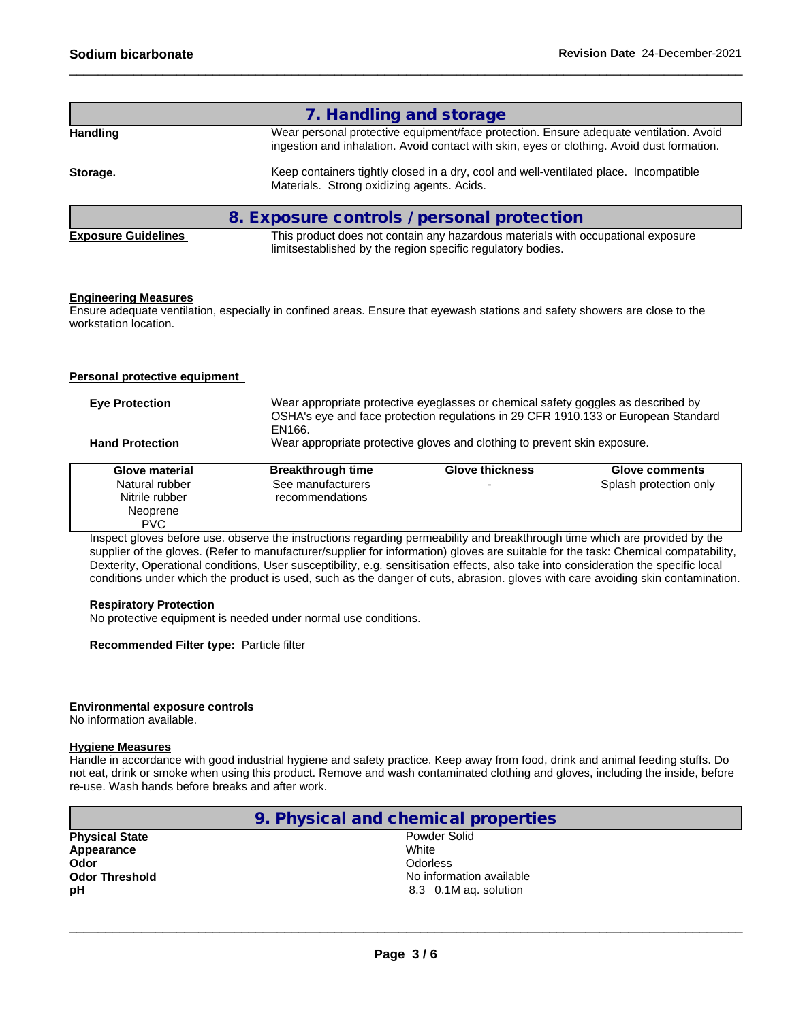|                            | 7. Handling and storage                                                                                                                                                              |
|----------------------------|--------------------------------------------------------------------------------------------------------------------------------------------------------------------------------------|
| Handling                   | Wear personal protective equipment/face protection. Ensure adequate ventilation. Avoid<br>ingestion and inhalation. Avoid contact with skin, eyes or clothing. Avoid dust formation. |
| Storage.                   | Keep containers tightly closed in a dry, cool and well-ventilated place. Incompatible<br>Materials. Strong oxidizing agents. Acids.                                                  |
|                            | 8. Exposure controls / personal protection                                                                                                                                           |
| <b>Exposure Guidelines</b> | This product does not contain any hazardous materials with occupational exposure<br>limitsestablished by the region specific regulatory bodies.                                      |
|                            |                                                                                                                                                                                      |

#### **Engineering Measures**

Ensure adequate ventilation, especially in confined areas. Ensure that eyewash stations and safety showers are close to the workstation location.

#### **Personal protective equipment**

| <b>Eye Protection</b>  | Wear appropriate protective eyeglasses or chemical safety goggles as described by<br>OSHA's eye and face protection regulations in 29 CFR 1910.133 or European Standard<br>EN166. |                                                                           |                        |  |
|------------------------|-----------------------------------------------------------------------------------------------------------------------------------------------------------------------------------|---------------------------------------------------------------------------|------------------------|--|
| <b>Hand Protection</b> |                                                                                                                                                                                   | Wear appropriate protective gloves and clothing to prevent skin exposure. |                        |  |
| Glove material         | <b>Breakthrough time</b>                                                                                                                                                          | <b>Glove thickness</b>                                                    | Glove comments         |  |
| Natural rubber         | See manufacturers                                                                                                                                                                 |                                                                           | Splash protection only |  |
| Nitrile rubber         | recommendations                                                                                                                                                                   |                                                                           |                        |  |
| Neoprene               |                                                                                                                                                                                   |                                                                           |                        |  |
| <b>PVC</b>             |                                                                                                                                                                                   |                                                                           |                        |  |

Inspect gloves before use. observe the instructions regarding permeability and breakthrough time which are provided by the supplier of the gloves. (Refer to manufacturer/supplier for information) gloves are suitable for the task: Chemical compatability, Dexterity, Operational conditions, User susceptibility, e.g. sensitisation effects, also take into consideration the specific local conditions under which the product is used, such as the danger of cuts, abrasion. gloves with care avoiding skin contamination.

#### **Respiratory Protection**

No protective equipment is needed under normal use conditions.

#### **Recommended Filter type:** Particle filter

#### **Environmental exposure controls**

No information available.

#### **Hygiene Measures**

Handle in accordance with good industrial hygiene and safety practice. Keep away from food, drink and animal feeding stuffs. Do not eat, drink or smoke when using this product. Remove and wash contaminated clothing and gloves, including the inside, before re-use. Wash hands before breaks and after work.

|                       | 9. Physical and chemical properties |
|-----------------------|-------------------------------------|
| <b>Physical State</b> | Powder Solid                        |
| Appearance            | White                               |
| Odor                  | <b>Odorless</b>                     |
| <b>Odor Threshold</b> | No information available            |
| рH                    | 8.3 0.1M ag. solution               |
|                       |                                     |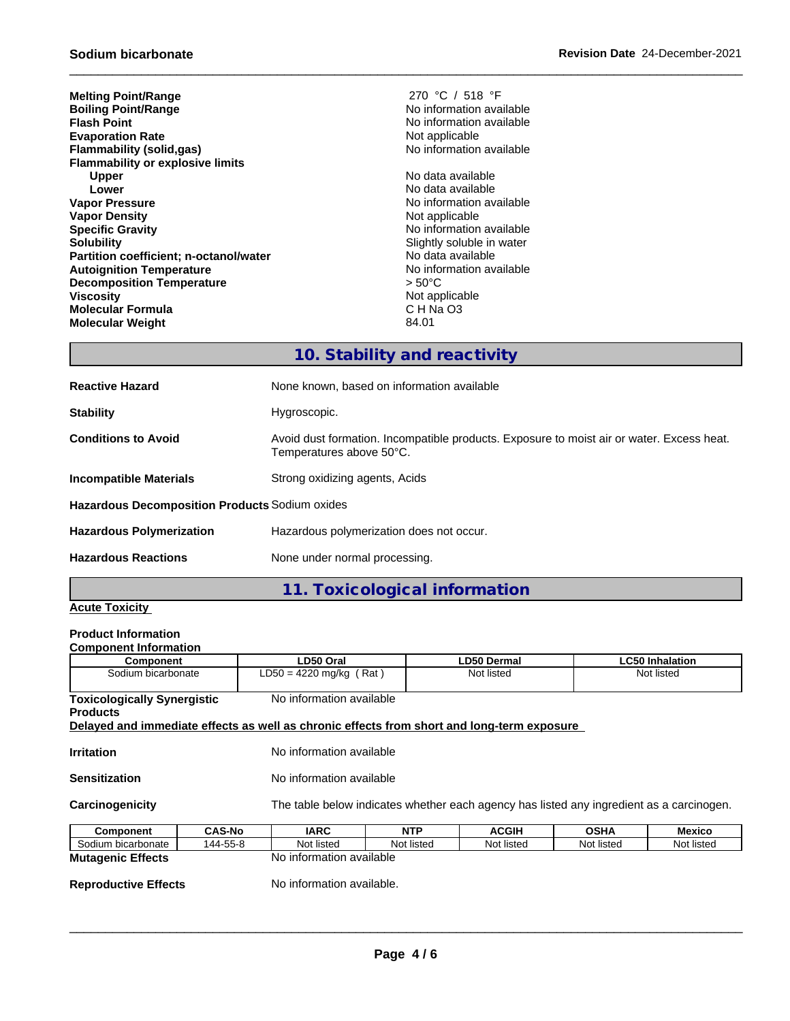| 270 °C / 518 °F           |
|---------------------------|
| No information available  |
| No information available  |
| Not applicable            |
| No information available  |
|                           |
| No data available         |
| No data available         |
| No information available  |
| Not applicable            |
| No information available  |
| Slightly soluble in water |
| No data available         |
| No information available  |
| $> 50^{\circ}$ C          |
| Not applicable            |
| CHNaO <sub>3</sub>        |
| 84.01                     |
|                           |

**Melting Point/Range** 270 °C / 518 °F **No information available No information available Not applicable Flammability (solid,gas)** No information available

# **10. Stability and reactivity**

| <b>Reactive Hazard</b>                         | None known, based on information available                                                                            |
|------------------------------------------------|-----------------------------------------------------------------------------------------------------------------------|
| <b>Stability</b>                               | Hygroscopic.                                                                                                          |
| <b>Conditions to Avoid</b>                     | Avoid dust formation. Incompatible products. Exposure to moist air or water. Excess heat.<br>Temperatures above 50°C. |
| Incompatible Materials                         | Strong oxidizing agents, Acids                                                                                        |
| Hazardous Decomposition Products Sodium oxides |                                                                                                                       |
| <b>Hazardous Polymerization</b>                | Hazardous polymerization does not occur.                                                                              |
| <b>Hazardous Reactions</b>                     | None under normal processing.                                                                                         |
|                                                |                                                                                                                       |

**11. Toxicological information**

# **Acute Toxicity**

#### **Product Information Component Information**

| Component                                                                                                     |               | LD50 Oral                                                                                |            | LD50 Dermal  |             | <b>LC50 Inhalation</b> |
|---------------------------------------------------------------------------------------------------------------|---------------|------------------------------------------------------------------------------------------|------------|--------------|-------------|------------------------|
| Sodium bicarbonate                                                                                            |               | $LD50 = 4220$ mg/kg (Rat)                                                                |            | Not listed   |             | Not listed             |
| No information available<br><b>Toxicologically Synergistic</b>                                                |               |                                                                                          |            |              |             |                        |
| <b>Products</b><br>Delayed and immediate effects as well as chronic effects from short and long-term exposure |               |                                                                                          |            |              |             |                        |
|                                                                                                               |               |                                                                                          |            |              |             |                        |
| <b>Irritation</b>                                                                                             |               | No information available                                                                 |            |              |             |                        |
| <b>Sensitization</b>                                                                                          |               | No information available                                                                 |            |              |             |                        |
| Carcinogenicity                                                                                               |               | The table below indicates whether each agency has listed any ingredient as a carcinogen. |            |              |             |                        |
|                                                                                                               |               |                                                                                          |            |              |             |                        |
| Component                                                                                                     | <b>CAS-No</b> | IARC                                                                                     | <b>NTP</b> | <b>ACGIH</b> | <b>OSHA</b> | Mexico                 |
| Sodium bicarbonate                                                                                            | 144-55-8      | Not listed                                                                               | Not listed | Not listed   | Not listed  | Not listed             |
| <b>Mutagenic Effects</b>                                                                                      |               | No information available                                                                 |            |              |             |                        |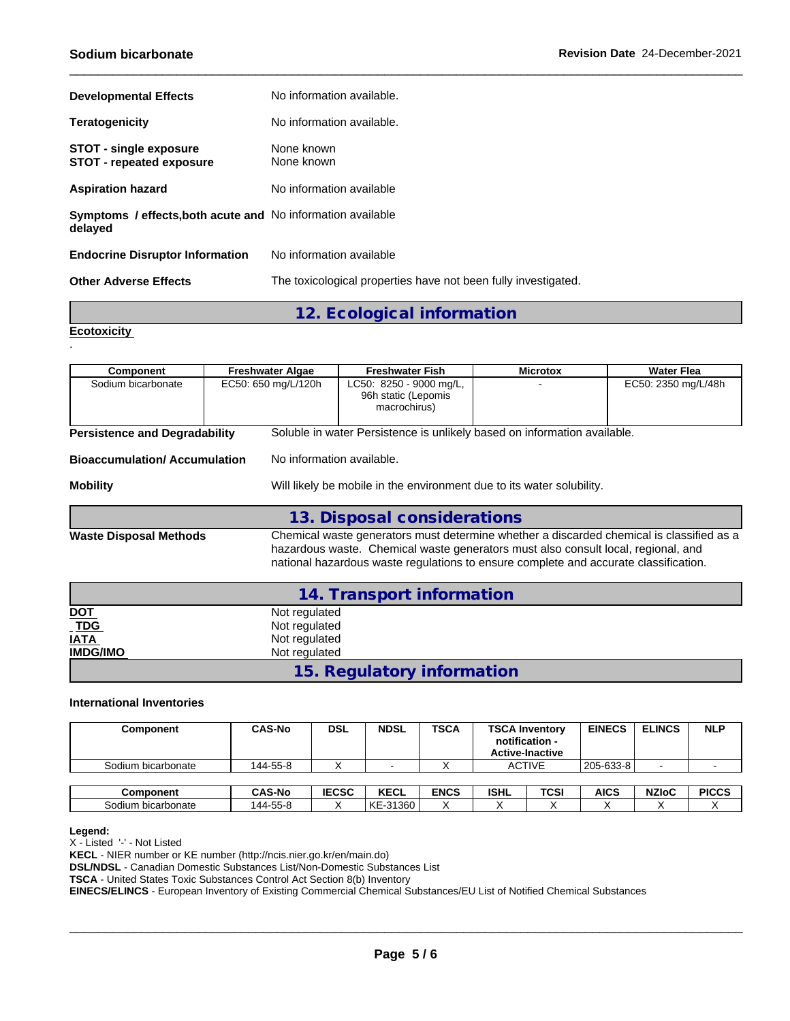| <b>Developmental Effects</b>                                                  | No information available.                                      |
|-------------------------------------------------------------------------------|----------------------------------------------------------------|
| <b>Teratogenicity</b>                                                         | No information available.                                      |
| <b>STOT - single exposure</b><br><b>STOT - repeated exposure</b>              | None known<br>None known                                       |
| <b>Aspiration hazard</b>                                                      | No information available                                       |
| <b>Symptoms / effects, both acute and No information available</b><br>delayed |                                                                |
| <b>Endocrine Disruptor Information</b>                                        | No information available                                       |
| <b>Other Adverse Effects</b>                                                  | The toxicological properties have not been fully investigated. |

**12. Ecological information**

**Ecotoxicity**  .

| <b>Component</b>                                                                         | <b>Freshwater Algae</b> | <b>Freshwater Fish</b>                                                                                                                                                    | <b>Microtox</b> | Water Flea                                                                               |  |  |
|------------------------------------------------------------------------------------------|-------------------------|---------------------------------------------------------------------------------------------------------------------------------------------------------------------------|-----------------|------------------------------------------------------------------------------------------|--|--|
| Sodium bicarbonate                                                                       | EC50: 650 mg/L/120h     | LC50: 8250 - 9000 mg/L,<br>96h static (Lepomis<br>macrochirus)                                                                                                            |                 | EC50: 2350 mg/L/48h                                                                      |  |  |
| <b>Persistence and Degradability</b>                                                     |                         | Soluble in water Persistence is unlikely based on information available.                                                                                                  |                 |                                                                                          |  |  |
| <b>Bioaccumulation/Accumulation</b>                                                      |                         | No information available.                                                                                                                                                 |                 |                                                                                          |  |  |
| <b>Mobility</b><br>Will likely be mobile in the environment due to its water solubility. |                         |                                                                                                                                                                           |                 |                                                                                          |  |  |
|                                                                                          |                         | 13. Disposal considerations                                                                                                                                               |                 |                                                                                          |  |  |
| <b>Waste Disposal Methods</b>                                                            |                         | hazardous waste. Chemical waste generators must also consult local, regional, and<br>national hazardous waste regulations to ensure complete and accurate classification. |                 | Chemical waste generators must determine whether a discarded chemical is classified as a |  |  |
|                                                                                          |                         | 14. Transport information                                                                                                                                                 |                 |                                                                                          |  |  |
| <b>DOT</b>                                                                               | Not regulated           |                                                                                                                                                                           |                 |                                                                                          |  |  |

| <u> DO L</u>             | Not requiated              |  |
|--------------------------|----------------------------|--|
| $\underline{\text{TDG}}$ | Not regulated              |  |
| <b>IATA</b>              | Not regulated              |  |
| <b>IMDG/IMO</b>          | Not regulated              |  |
|                          | 15. Regulatory information |  |

## **International Inventories**

| Component          | <b>CAS-No</b> | <b>DSL</b>   | <b>NDSL</b> | <b>TSCA</b> |               | <b>TSCA Inventory</b><br>notification -<br><b>Active-Inactive</b> | <b>EINECS</b> | <b>ELINCS</b> | <b>NLP</b>   |
|--------------------|---------------|--------------|-------------|-------------|---------------|-------------------------------------------------------------------|---------------|---------------|--------------|
| Sodium bicarbonate | 144-55-8      |              |             |             | <b>ACTIVE</b> |                                                                   | 205-633-8     |               |              |
|                    |               |              |             |             |               |                                                                   |               |               |              |
| <b>Component</b>   | <b>CAS-No</b> | <b>IECSC</b> | <b>KECL</b> | <b>ENCS</b> | <b>ISHL</b>   | TCSI                                                              | <b>AICS</b>   | <b>NZIoC</b>  | <b>PICCS</b> |
| Sodium bicarbonate | 144-55-8      |              | l KE-31360  |             |               |                                                                   |               |               |              |

#### **Legend:**

X - Listed '-' - Not Listed

**KECL** - NIER number or KE number (http://ncis.nier.go.kr/en/main.do)

**DSL/NDSL** - Canadian Domestic Substances List/Non-Domestic Substances List

**TSCA** - United States Toxic Substances Control Act Section 8(b) Inventory

**EINECS/ELINCS** - European Inventory of Existing Commercial Chemical Substances/EU List of Notified Chemical Substances